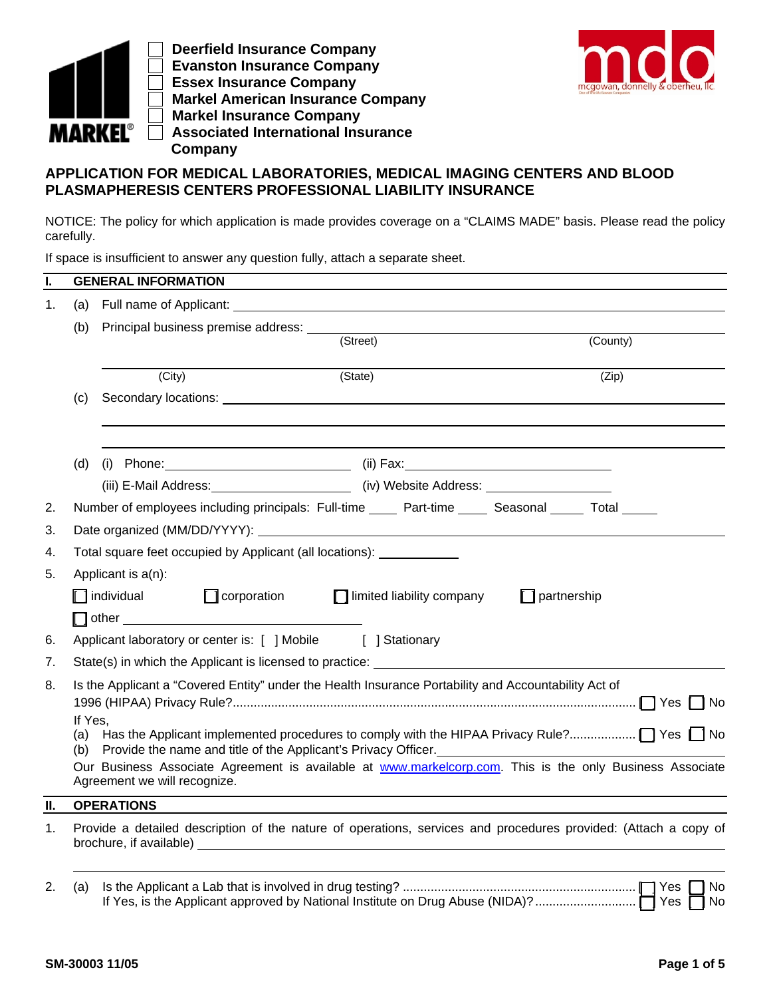

 **Deerfield Insurance Company Evanston Insurance Company Essex Insurance Company Markel American Insurance Company Markel Insurance Company Associated International Insurance Company**



## **APPLICATION FOR MEDICAL LABORATORIES, MEDICAL IMAGING CENTERS AND BLOOD PLASMAPHERESIS CENTERS PROFESSIONAL LIABILITY INSURANCE**

NOTICE: The policy for which application is made provides coverage on a "CLAIMS MADE" basis. Please read the policy carefully.

If space is insufficient to answer any question fully, attach a separate sheet.

| I. |                                                                                                                                                                                                                                                                                                                                                                                                                     | <b>GENERAL INFORMATION</b>                                                                                      |                             |                    |          |  |  |  |
|----|---------------------------------------------------------------------------------------------------------------------------------------------------------------------------------------------------------------------------------------------------------------------------------------------------------------------------------------------------------------------------------------------------------------------|-----------------------------------------------------------------------------------------------------------------|-----------------------------|--------------------|----------|--|--|--|
| 1. | (a)                                                                                                                                                                                                                                                                                                                                                                                                                 |                                                                                                                 |                             |                    |          |  |  |  |
|    | (b)                                                                                                                                                                                                                                                                                                                                                                                                                 | Principal business premise address: _________                                                                   |                             |                    |          |  |  |  |
|    |                                                                                                                                                                                                                                                                                                                                                                                                                     |                                                                                                                 | (Street)                    |                    | (County) |  |  |  |
|    | (City)                                                                                                                                                                                                                                                                                                                                                                                                              |                                                                                                                 | (State)                     |                    | (Zip)    |  |  |  |
|    | (c)                                                                                                                                                                                                                                                                                                                                                                                                                 |                                                                                                                 |                             |                    |          |  |  |  |
|    | (d)                                                                                                                                                                                                                                                                                                                                                                                                                 |                                                                                                                 |                             |                    |          |  |  |  |
|    |                                                                                                                                                                                                                                                                                                                                                                                                                     | (iii) E-Mail Address: ____________________________ (iv) Website Address: __________________________             |                             |                    |          |  |  |  |
| 2. |                                                                                                                                                                                                                                                                                                                                                                                                                     | Number of employees including principals: Full-time _____ Part-time _____ Seasonal _____ Total _____            |                             |                    |          |  |  |  |
| 3. |                                                                                                                                                                                                                                                                                                                                                                                                                     |                                                                                                                 |                             |                    |          |  |  |  |
| 4. |                                                                                                                                                                                                                                                                                                                                                                                                                     | Total square feet occupied by Applicant (all locations): __________                                             |                             |                    |          |  |  |  |
| 5. | Applicant is a(n):                                                                                                                                                                                                                                                                                                                                                                                                  |                                                                                                                 |                             |                    |          |  |  |  |
|    |                                                                                                                                                                                                                                                                                                                                                                                                                     | $\Box$ individual<br>$\Box$ corporation                                                                         | □ limited liability company | $\Box$ partnership |          |  |  |  |
|    |                                                                                                                                                                                                                                                                                                                                                                                                                     |                                                                                                                 |                             |                    |          |  |  |  |
| 6. |                                                                                                                                                                                                                                                                                                                                                                                                                     | Applicant laboratory or center is: [ ] Mobile [ ] Stationary                                                    |                             |                    |          |  |  |  |
| 7. |                                                                                                                                                                                                                                                                                                                                                                                                                     | State(s) in which the Applicant is licensed to practice: ________________________                               |                             |                    |          |  |  |  |
| 8. | Is the Applicant a "Covered Entity" under the Health Insurance Portability and Accountability Act of<br>If Yes,<br>(a)<br>Provide the name and title of the Applicant's Privacy Officer. [10] Drawing and the name and title of the Applicant's Privacy Officer.<br>(b)<br>Our Business Associate Agreement is available at www.markelcorp.com. This is the only Business Associate<br>Agreement we will recognize. |                                                                                                                 |                             |                    |          |  |  |  |
| П. |                                                                                                                                                                                                                                                                                                                                                                                                                     | <b>OPERATIONS</b>                                                                                               |                             |                    |          |  |  |  |
| 1. |                                                                                                                                                                                                                                                                                                                                                                                                                     | Provide a detailed description of the nature of operations, services and procedures provided: (Attach a copy of |                             |                    |          |  |  |  |
| 2. | (a)                                                                                                                                                                                                                                                                                                                                                                                                                 |                                                                                                                 |                             |                    |          |  |  |  |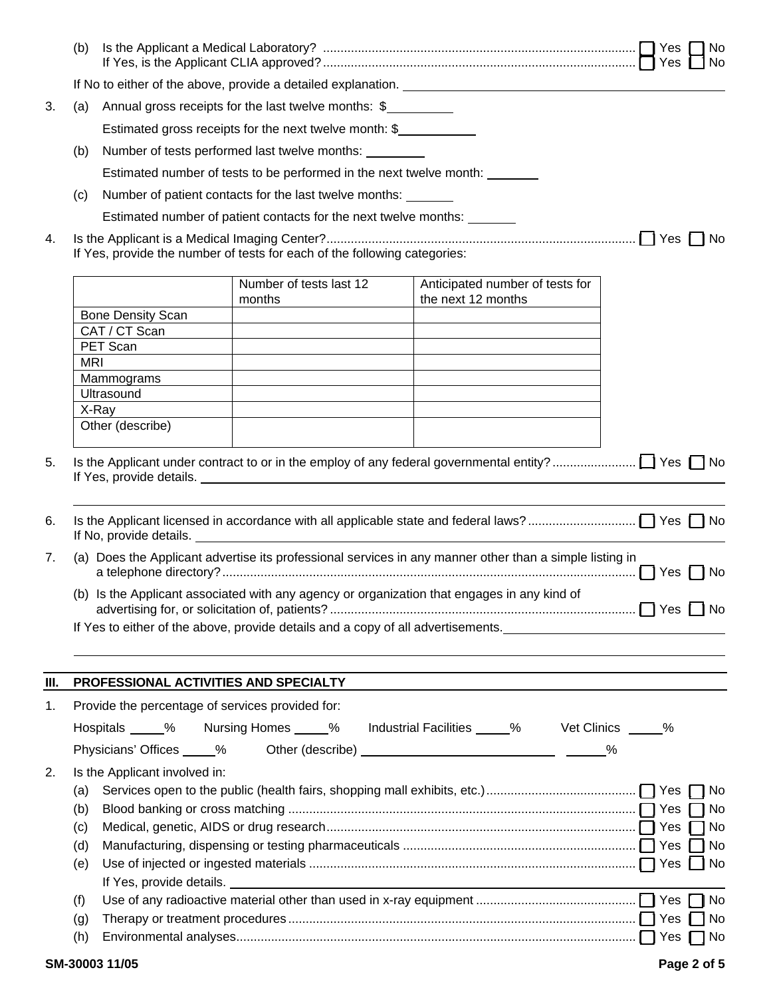|    | (b)                                                                                         |                                                        |                                                                                                                                    |                                                                                                         | No.<br>No |
|----|---------------------------------------------------------------------------------------------|--------------------------------------------------------|------------------------------------------------------------------------------------------------------------------------------------|---------------------------------------------------------------------------------------------------------|-----------|
|    |                                                                                             |                                                        |                                                                                                                                    |                                                                                                         |           |
| 3. | (a)                                                                                         | Annual gross receipts for the last twelve months: \$   |                                                                                                                                    |                                                                                                         |           |
|    |                                                                                             | Estimated gross receipts for the next twelve month: \$ |                                                                                                                                    |                                                                                                         |           |
|    | (b)                                                                                         |                                                        | Number of tests performed last twelve months: ________                                                                             |                                                                                                         |           |
|    |                                                                                             |                                                        | Estimated number of tests to be performed in the next twelve month:                                                                |                                                                                                         |           |
|    |                                                                                             |                                                        |                                                                                                                                    |                                                                                                         |           |
|    | (c)                                                                                         |                                                        | Number of patient contacts for the last twelve months:<br>Estimated number of patient contacts for the next twelve months: _______ |                                                                                                         |           |
|    |                                                                                             |                                                        |                                                                                                                                    |                                                                                                         |           |
| 4. | If Yes, provide the number of tests for each of the following categories:                   |                                                        |                                                                                                                                    |                                                                                                         |           |
|    |                                                                                             |                                                        | Number of tests last 12<br>months                                                                                                  | Anticipated number of tests for<br>the next 12 months                                                   |           |
|    |                                                                                             | <b>Bone Density Scan</b>                               |                                                                                                                                    |                                                                                                         |           |
|    |                                                                                             | CAT / CT Scan<br>PET Scan                              |                                                                                                                                    |                                                                                                         |           |
|    | <b>MRI</b>                                                                                  |                                                        |                                                                                                                                    |                                                                                                         |           |
|    |                                                                                             | Mammograms                                             |                                                                                                                                    |                                                                                                         |           |
|    |                                                                                             | Ultrasound                                             |                                                                                                                                    |                                                                                                         |           |
|    |                                                                                             | X-Ray                                                  |                                                                                                                                    |                                                                                                         |           |
|    |                                                                                             | Other (describe)                                       |                                                                                                                                    |                                                                                                         |           |
| 6. |                                                                                             | If No, provide details.                                |                                                                                                                                    |                                                                                                         |           |
| 7. |                                                                                             |                                                        |                                                                                                                                    | (a) Does the Applicant advertise its professional services in any manner other than a simple listing in |           |
|    | (b) Is the Applicant associated with any agency or organization that engages in any kind of |                                                        |                                                                                                                                    |                                                                                                         |           |
|    |                                                                                             |                                                        |                                                                                                                                    | If Yes to either of the above, provide details and a copy of all advertisements.                        |           |
|    |                                                                                             |                                                        |                                                                                                                                    |                                                                                                         |           |
| Ш. |                                                                                             | PROFESSIONAL ACTIVITIES AND SPECIALTY                  |                                                                                                                                    |                                                                                                         |           |
| 1. |                                                                                             | Provide the percentage of services provided for:       |                                                                                                                                    |                                                                                                         |           |
|    |                                                                                             |                                                        |                                                                                                                                    | Hospitals _____% Nursing Homes _____% Industrial Facilities _____% Vet Clinics _____%                   |           |
|    |                                                                                             | Physicians' Offices 6 %                                |                                                                                                                                    |                                                                                                         |           |
| 2. |                                                                                             | Is the Applicant involved in:                          |                                                                                                                                    |                                                                                                         |           |
|    | (a)                                                                                         |                                                        |                                                                                                                                    |                                                                                                         |           |
|    | (b)                                                                                         |                                                        |                                                                                                                                    |                                                                                                         |           |
|    | (c)                                                                                         |                                                        |                                                                                                                                    |                                                                                                         | 门 No      |
|    | (d)                                                                                         |                                                        |                                                                                                                                    |                                                                                                         |           |
|    | (e)                                                                                         |                                                        |                                                                                                                                    |                                                                                                         |           |
|    |                                                                                             |                                                        |                                                                                                                                    |                                                                                                         |           |
|    | (f)                                                                                         |                                                        |                                                                                                                                    |                                                                                                         |           |
|    | (g)                                                                                         |                                                        |                                                                                                                                    |                                                                                                         | No        |
|    | (h)                                                                                         |                                                        |                                                                                                                                    |                                                                                                         |           |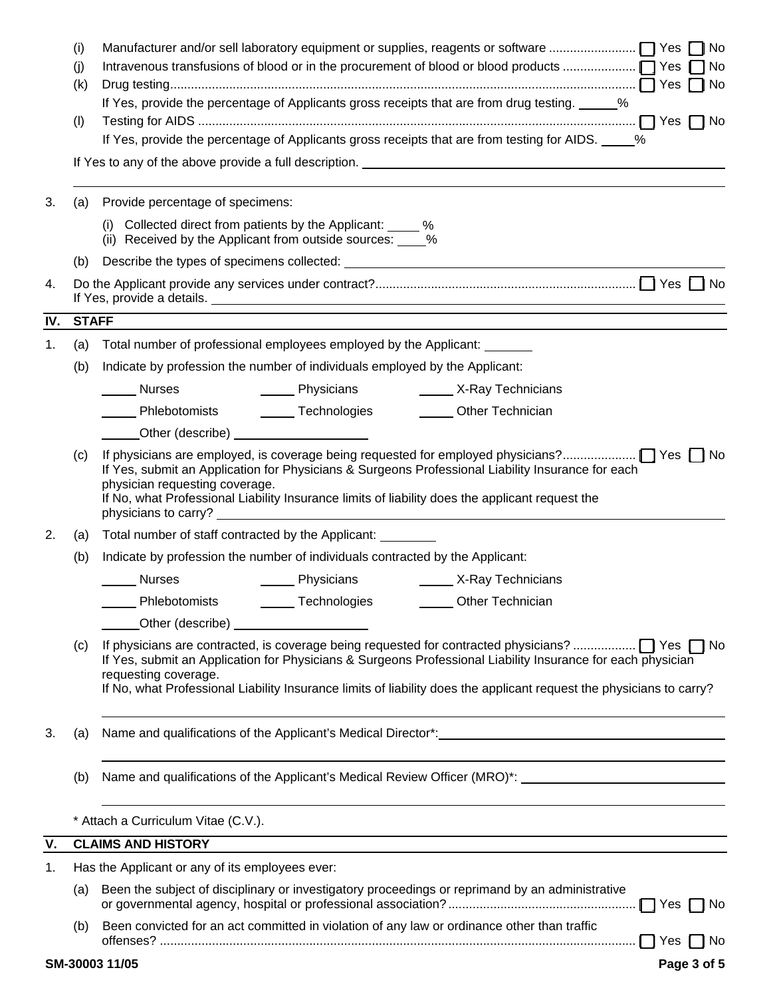|     | (i)<br>(i)   | $\sqcap$ No                                                                                                                                                                                                                                                 |  |  |  |  |  |  |
|-----|--------------|-------------------------------------------------------------------------------------------------------------------------------------------------------------------------------------------------------------------------------------------------------------|--|--|--|--|--|--|
|     | (k)          |                                                                                                                                                                                                                                                             |  |  |  |  |  |  |
|     |              | If Yes, provide the percentage of Applicants gross receipts that are from drug testing. _____ %                                                                                                                                                             |  |  |  |  |  |  |
|     | (1)          | If Yes, provide the percentage of Applicants gross receipts that are from testing for AIDS. 60%                                                                                                                                                             |  |  |  |  |  |  |
|     |              | If Yes to any of the above provide a full description. <u>The announcement of the set of the set of the set of the set of the set of the set of the set of the set of the set of the set of the set of the set of the set of the</u>                        |  |  |  |  |  |  |
|     |              |                                                                                                                                                                                                                                                             |  |  |  |  |  |  |
| 3.  | (a)          | Provide percentage of specimens:                                                                                                                                                                                                                            |  |  |  |  |  |  |
|     |              | (i) Collected direct from patients by the Applicant: _____ %<br>(ii) Received by the Applicant from outside sources: ____%                                                                                                                                  |  |  |  |  |  |  |
|     | (b)          |                                                                                                                                                                                                                                                             |  |  |  |  |  |  |
| 4.  |              |                                                                                                                                                                                                                                                             |  |  |  |  |  |  |
| IV. | <b>STAFF</b> |                                                                                                                                                                                                                                                             |  |  |  |  |  |  |
| 1.  | (a)          | Total number of professional employees employed by the Applicant:                                                                                                                                                                                           |  |  |  |  |  |  |
|     | (b)          | Indicate by profession the number of individuals employed by the Applicant:                                                                                                                                                                                 |  |  |  |  |  |  |
|     |              | ________ Physicians _______________ X-Ray Technicians<br>Nurses                                                                                                                                                                                             |  |  |  |  |  |  |
|     |              | ______ Phlebotomists _________ Technologies _________ Other Technician                                                                                                                                                                                      |  |  |  |  |  |  |
|     |              |                                                                                                                                                                                                                                                             |  |  |  |  |  |  |
|     | (c)          | If Yes, submit an Application for Physicians & Surgeons Professional Liability Insurance for each<br>physician requesting coverage.<br>If No, what Professional Liability Insurance limits of liability does the applicant request the                      |  |  |  |  |  |  |
| 2.  | (a)          | Total number of staff contracted by the Applicant:                                                                                                                                                                                                          |  |  |  |  |  |  |
|     | (b)          | Indicate by profession the number of individuals contracted by the Applicant:                                                                                                                                                                               |  |  |  |  |  |  |
|     |              | ______ Physicians ______________ X-Ray Technicians<br><b>Nurses</b>                                                                                                                                                                                         |  |  |  |  |  |  |
|     |              | _____ Phlebotomists _________ Technologies _________ Other Technician                                                                                                                                                                                       |  |  |  |  |  |  |
|     |              |                                                                                                                                                                                                                                                             |  |  |  |  |  |  |
|     | (c)          | If Yes, submit an Application for Physicians & Surgeons Professional Liability Insurance for each physician<br>requesting coverage.<br>If No, what Professional Liability Insurance limits of liability does the applicant request the physicians to carry? |  |  |  |  |  |  |
| 3.  | (a)          | Name and qualifications of the Applicant's Medical Director*: entertainment of the Applicant of the Applicant's                                                                                                                                             |  |  |  |  |  |  |
|     | (b)          | Name and qualifications of the Applicant's Medical Review Officer (MRO)*: ___________________________________                                                                                                                                               |  |  |  |  |  |  |
|     |              | * Attach a Curriculum Vitae (C.V.).                                                                                                                                                                                                                         |  |  |  |  |  |  |
| V.  |              | <b>CLAIMS AND HISTORY</b>                                                                                                                                                                                                                                   |  |  |  |  |  |  |
| 1.  |              | Has the Applicant or any of its employees ever:                                                                                                                                                                                                             |  |  |  |  |  |  |
|     | (a)          | Been the subject of disciplinary or investigatory proceedings or reprimand by an administrative                                                                                                                                                             |  |  |  |  |  |  |
|     | (b)          | Been convicted for an act committed in violation of any law or ordinance other than traffic                                                                                                                                                                 |  |  |  |  |  |  |
|     |              | Page 3 of 5<br>SM-30003 11/05                                                                                                                                                                                                                               |  |  |  |  |  |  |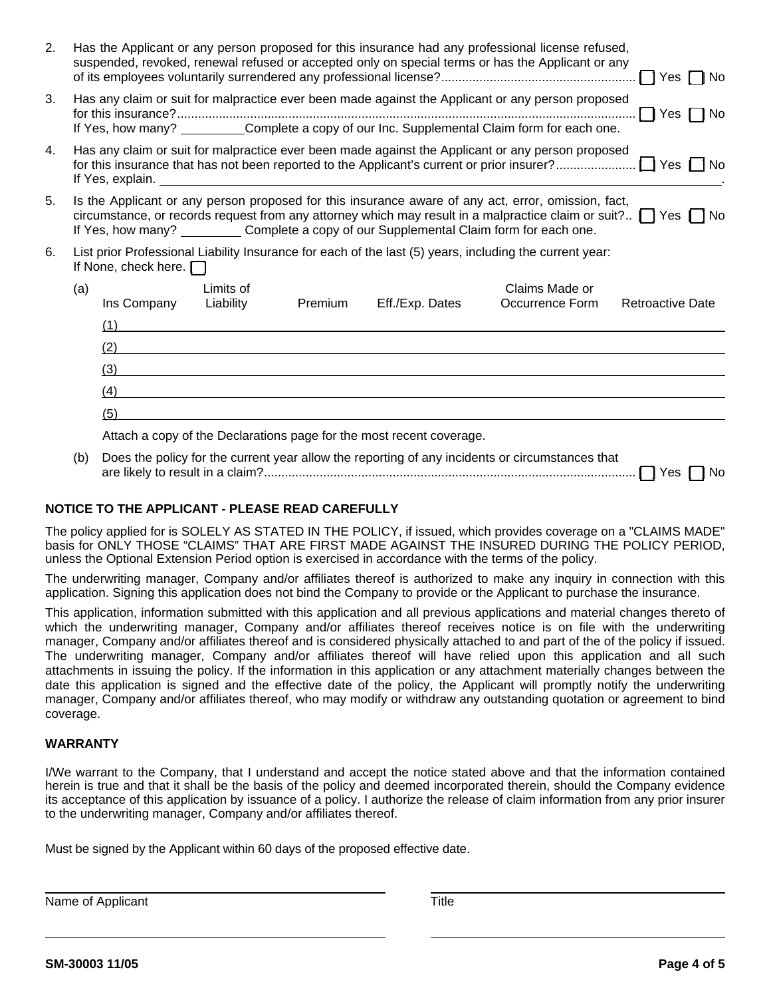| 2. | Has the Applicant or any person proposed for this insurance had any professional license refused,<br>suspended, revoked, renewal refused or accepted only on special terms or has the Applicant or any<br>Yes $\Box$ No |                             |           |         |                                                                      |                                                                                                                                                                                                                                                                                                                               |                         |
|----|-------------------------------------------------------------------------------------------------------------------------------------------------------------------------------------------------------------------------|-----------------------------|-----------|---------|----------------------------------------------------------------------|-------------------------------------------------------------------------------------------------------------------------------------------------------------------------------------------------------------------------------------------------------------------------------------------------------------------------------|-------------------------|
| 3. |                                                                                                                                                                                                                         |                             |           |         |                                                                      | Has any claim or suit for malpractice ever been made against the Applicant or any person proposed<br>If Yes, how many? ___________Complete a copy of our Inc. Supplemental Claim form for each one.                                                                                                                           | $\Box$ Yes $\Box$ No    |
| 4. |                                                                                                                                                                                                                         | If Yes, explain.            |           |         |                                                                      | Has any claim or suit for malpractice ever been made against the Applicant or any person proposed                                                                                                                                                                                                                             |                         |
| 5. |                                                                                                                                                                                                                         |                             |           |         |                                                                      | Is the Applicant or any person proposed for this insurance aware of any act, error, omission, fact,<br>circumstance, or records request from any attorney which may result in a malpractice claim or suit? $\Box$ Yes $\Box$ No<br>If Yes, how many? ___________ Complete a copy of our Supplemental Claim form for each one. |                         |
| 6. |                                                                                                                                                                                                                         | If None, check here. $\Box$ |           |         |                                                                      | List prior Professional Liability Insurance for each of the last (5) years, including the current year:                                                                                                                                                                                                                       |                         |
|    | (a)                                                                                                                                                                                                                     |                             | Limits of |         |                                                                      | Claims Made or                                                                                                                                                                                                                                                                                                                |                         |
|    |                                                                                                                                                                                                                         | Ins Company                 | Liability | Premium | Eff./Exp. Dates                                                      | Occurrence Form                                                                                                                                                                                                                                                                                                               | <b>Retroactive Date</b> |
|    |                                                                                                                                                                                                                         | (1)                         |           |         |                                                                      |                                                                                                                                                                                                                                                                                                                               |                         |
|    |                                                                                                                                                                                                                         | (2)                         |           |         |                                                                      |                                                                                                                                                                                                                                                                                                                               |                         |
|    |                                                                                                                                                                                                                         | (3)                         |           |         |                                                                      |                                                                                                                                                                                                                                                                                                                               |                         |
|    |                                                                                                                                                                                                                         | (4)                         |           |         |                                                                      |                                                                                                                                                                                                                                                                                                                               |                         |
|    |                                                                                                                                                                                                                         | (5)                         |           |         |                                                                      |                                                                                                                                                                                                                                                                                                                               |                         |
|    |                                                                                                                                                                                                                         |                             |           |         | Attach a copy of the Declarations page for the most recent coverage. |                                                                                                                                                                                                                                                                                                                               |                         |
|    | (b)                                                                                                                                                                                                                     |                             |           |         |                                                                      | Does the policy for the current year allow the reporting of any incidents or circumstances that                                                                                                                                                                                                                               |                         |

| are like<br>⊷w<br>____ | - 1<br>. | ____ |  |
|------------------------|----------|------|--|
|                        |          |      |  |

## **NOTICE TO THE APPLICANT - PLEASE READ CAREFULLY**

The policy applied for is SOLELY AS STATED IN THE POLICY, if issued, which provides coverage on a "CLAIMS MADE" basis for ONLY THOSE "CLAIMS" THAT ARE FIRST MADE AGAINST THE INSURED DURING THE POLICY PERIOD, unless the Optional Extension Period option is exercised in accordance with the terms of the policy.

The underwriting manager, Company and/or affiliates thereof is authorized to make any inquiry in connection with this application. Signing this application does not bind the Company to provide or the Applicant to purchase the insurance.

This application, information submitted with this application and all previous applications and material changes thereto of which the underwriting manager, Company and/or affiliates thereof receives notice is on file with the underwriting manager, Company and/or affiliates thereof and is considered physically attached to and part of the of the policy if issued. The underwriting manager, Company and/or affiliates thereof will have relied upon this application and all such attachments in issuing the policy. If the information in this application or any attachment materially changes between the date this application is signed and the effective date of the policy, the Applicant will promptly notify the underwriting manager, Company and/or affiliates thereof, who may modify or withdraw any outstanding quotation or agreement to bind coverage.

## **WARRANTY**

I/We warrant to the Company, that I understand and accept the notice stated above and that the information contained herein is true and that it shall be the basis of the policy and deemed incorporated therein, should the Company evidence its acceptance of this application by issuance of a policy. I authorize the release of claim information from any prior insurer to the underwriting manager, Company and/or affiliates thereof.

Must be signed by the Applicant within 60 days of the proposed effective date.

Name of Applicant Title